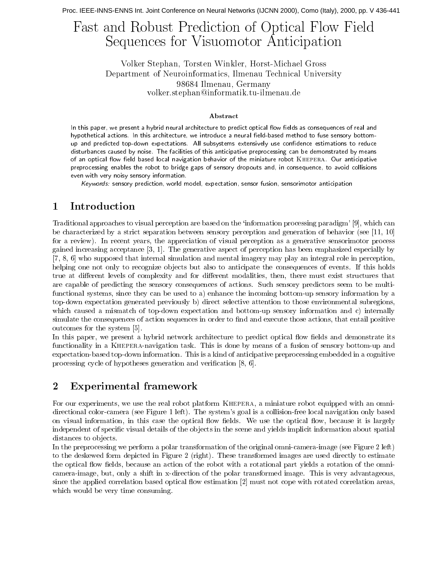# Fast and Robust Prediction of Optical Flow Field Sequences for Visuomotor Anticipation

Volker Stephan, Torsten Winkler, Horst-Michael Gross Department of Neuroinformatics, Ilmenau Technical University 98684 Ilmenau, Germany volker.stephan@informatik.tu-ilmenau.de

## Abstract

In this paper, we present a hybrid neural architecture to predict optical flow fields as consequences of real and hypothetical actions. In this architecture, we introduce a neural field-based method to fuse sensory bottomup and predicted top-down expectations. All subsystems extensively use confidence estimations to reduce disturbances caused by noise. The facilities of this anticipative preprocessing can be demonstrated by means of an optical flow field based local navigation behavior of the miniature robot KHEPERA. Our anticipative preprocessing enables the robot to bridge gaps of sensory dropouts and, in consequence, to avoid collisions even with very noisy sensory information.

Keywords: sensory prediction, world model, expectation, sensor fusion, sensorimotor anticipation

#### Introduction 1

Traditional approaches to visual perception are based on the 'information processing paradigm' [9], which can be characterized by a strict separation between sensory perception and generation of behavior (see  $[11, 10]$ ) for a review). In recent years, the appreciation of visual perception as a generative sensorimotor process gained increasing acceptance [3, 1]. The generative aspect of perception has been emphasized especially by  $[7, 8, 6]$  who supposed that internal simulation and mental imagery may play an integral role in perception, helping one not only to recognize objects but also to anticipate the consequences of events. If this holds true at different levels of complexity and for different modalities, then, there must exist structures that are capable of predicting the sensory consequences of actions. Such sensory predictors seem to be multifunctional systems, since they can be used to a) enhance the incoming bottom-up sensory information by a top-down expectation generated previously b) direct selective attention to those environmental subregions, which caused a mismatch of top-down expectation and bottom-up sensory information and c) internally simulate the consequences of action sequences in order to find and execute those actions, that entail positive outcomes for the system [5].

In this paper, we present a hybrid network architecture to predict optical flow fields and demonstrate its functionality in a KHEPERA-navigation task. This is done by means of a fusion of sensory bottom-up and expectation-based top-down information. This is a kind of anticipative preprocessing embedded in a cognitive processing cycle of hypotheses generation and verification  $[8, 6]$ .

#### $\overline{2}$ Experimental framework

For our experiments, we use the real robot platform KHEPERA, a miniature robot equipped with an omnidirectional color-camera (see Figure 1 left). The system's goal is a collision-free local navigation only based on visual information, in this case the optical flow fields. We use the optical flow, because it is largely independent of specific visual details of the objects in the scene and yields implicit information about spatial distances to objects.

In the preprocessing we perform a polar transformation of the original omni-camera-image (see Figure 2 left) to the deskewed form depicted in Figure 2 (right). These transformed images are used directly to estimate the optical flow fields, because an action of the robot with a rotational part yields a rotation of the omnicamera-image, but, only a shift in x-direction of the polar transformed image. This is very advantageous, since the applied correlation based optical flow estimation [2] must not cope with rotated correlation areas, which would be very time consuming.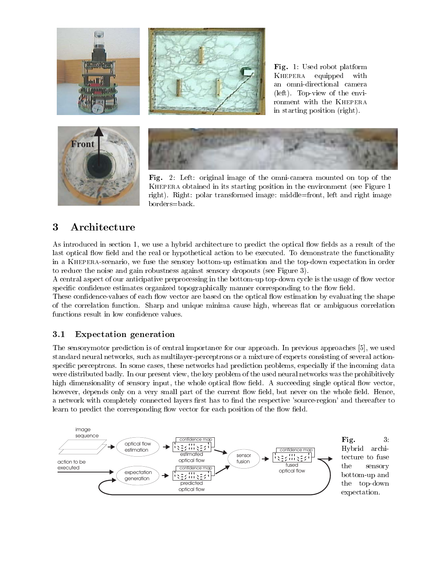

 45 7
5 -  -  - - 

- 

 2- $\mathbf{B}$  and  $\mathbf{B}$  and  $\mathbf{B}$  and  $\mathbf{B}$  and  $\mathbf{B}$  and  $\mathbf{B}$  and  $\mathbf{B}$  and  $\mathbf{B}$ 

 $\blacksquare$  . The contract of the contract of the contract of the contract of the contract of the contract of the contract of the contract of the contract of the contract of the contract of the contract of the contract of the 1 .
 
 - -  

+

" 
- 
 -- 

  - - 
 
 - 
+ --- 

 - 
- - 

 2- \$!"

 $\blacksquare$  . The contract of the contract of the contract of the contract of the contract of the contract of the contract of the contract of the contract of the contract of the contract of the contract of the contract of the . .

 - -  
- -- 
 1 .
 "

 $\mathbf{r}$  $\mathbf{A}$  , and  $\mathbf{A}$  , and  $\mathbf{A}$  , and  $\mathbf{A}$  , and  $\mathbf{A}$  , and  $\mathbf{A}$ 

#### 3.1

and the contract of the contract of the contract of the contract of the contract of the contract of the contract of the contract of the contract of the contract of the contract of the contract of the contract of the contra - 
- 
-0  
--- - - +- 
+ - 

- -  $\blacksquare$  . The set of the set of the set of the set of the set of the set of the set of the set of the set of the set of the set of the set of the set of the set of the set of the set of the set of the set of the set of the - - " # - - 
 
 0
 - 
 

- 
-0 
 -
  
- 
  
 1 .
 " : 

 1 
- $\mathbf{B}$  and  $\mathbf{B}$  are the set of  $\mathbf{B}$ 

- 
- - 
 -- 1 .
 - 
  
 .
 " ; 
-0  

- .-  . 
 - --- 
-- 
- - 
 -- 1 
- - 
 
 1 .
 "



 $3$ . \$5 ;- - the contract of the contract of the contract of the contract of the contract of the contract of the contract o the contract of the contract of the contract of the contract of the contract of the contract of the contract of  - + "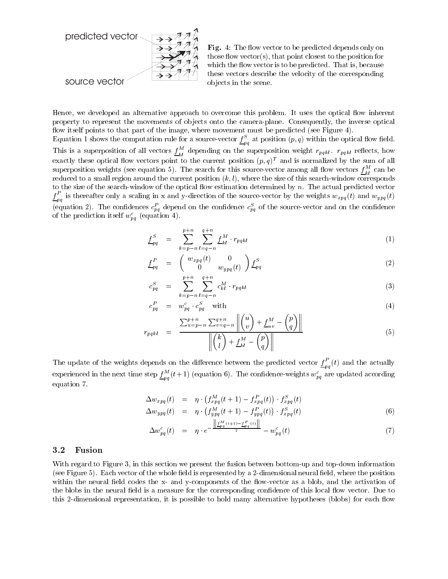

J

 $\boldsymbol{r}$ 

Fig. 4: The flow vector to be predicted depends only on those flow vector(s), that point closest to the position for which the flow vector is to be predicted. That is, because these vectors describe the velocity of the corresponding objects in the scene.

Hence, we developed an alternative approach to overcome this problem. It uses the optical flow inherent property to represent the movements of objects onto the camera-plane. Consequently, the inverse optical flow itself points to that part of the image, where movement must be predicted (see Figure 4).

Equation 1 shows the computation rule for a source-vector  $\underline{f}_{pq}^S$  at position  $(p, q)$  within the optical flow field. This is a superposition of all vectors  $\underline{f}_{kl}^M$  depending on the superposition weight  $r_{pqkl}$ .  $r_{pqkl}$  reflects, how exactly these optical flow vectors point to the current position  $(p, q)^T$  and is normalized by the sum of all superposition weights (see equation 5). The search for this source-vector among all flow vectors  $f_{kl}^M$  can be reduced to a small region around the current position  $(k, l)$ , where the size of this search-window corresponds to the size of the search-window of the optical flow estimation determined by  $n$ . The actual predicted vector  $\underline{f}_{pa}^P$  is thereafter only a scaling in x and y-direction of the source-vector by the weights  $w_{xpq}(t)$  and  $w_{ypq}(t)$ (equation 2). The confidences  $c_{pq}^P$  depend on the confidence  $c_{pq}^S$  of the source-vector and on the confidence of the prediction itself  $w_{pq}^c$  (equation 4).

$$
f_{pq}^S = \sum_{k=p-n}^{p+n} \sum_{l=q-n}^{q+n} f_{kl}^M \cdot r_{pqkl} \tag{1}
$$

$$
\underline{f}_{pq}^P = \begin{pmatrix} w_{xpq}(t) & 0 \\ 0 & w_{ypq}(t) \end{pmatrix} \underline{f}_{pq}^S \tag{2}
$$

$$
c_{pq}^S = \sum_{k=p-n}^{p+n} \sum_{l=q-n}^{q+n} c_{kl}^M \cdot r_{pqkl} \tag{3}
$$

$$
c_{pq}^P = w_{pq}^c \cdot c_{pq}^S \quad \text{with} \tag{4}
$$

$$
p_{qkl} = \frac{\sum_{u=p-n}^{p+n} \sum_{v=q-n}^{q+n} ||\binom{u}{v} + \underline{f}_{uv}^M - \binom{p}{q}||}{||\binom{k}{l} + \underline{f}_{kl}^M - \binom{p}{q}||} \tag{5}
$$

The update of the weights depends on the difference between the predicted vector  $\underline{f}_{pa}^P(t)$  and the actually experienced in the next time step  $\underline{f}_{na}^M(t+1)$  (equation 6). The confidence-weights  $w_{pq}^c$  are updated according equation 7.

$$
\begin{array}{rcl}\n\Delta w_{xpq}(t) & = & \eta \cdot \left( f_{xpq}^M(t+1) - f_{xpq}^P(t) \right) \cdot f_{xpq}^S(t) \\
\Delta w_{ypq}(t) & = & \eta \cdot \left( f_{mn}^M(t+1) - f_{pnq}^P(t) \right) \cdot f_{ynq}^S(t)\n\end{array} \tag{6}
$$

$$
\Delta w_{pq}^c(t) = \eta \cdot e^{-\frac{\left\| \underline{f}_{pq}^M(t+1) - \underline{f}_{pq}^P(t) \right\|}{2}} - w_{pq}^c(t) \tag{7}
$$

#### Fusion  $3.2$

With regard to Figure 3, in this section we present the fusion between bottom-up and top-down information (see Figure 5). Each vector of the whole field is represented by a 2-dimensional neural field, where the position within the neural field codes the x- and y-components of the flow-vector as a blob, and the activation of the blobs in the neural field is a measure for the corresponding confidence of this local flow vector. Due to this 2-dimensional representation, it is possible to hold many alternative hypotheses (blobs) for each flow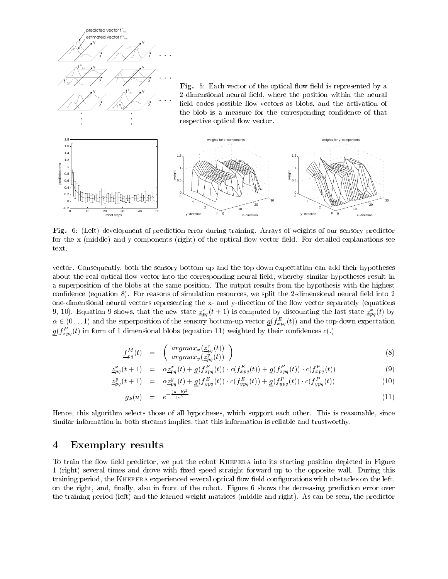

**Fig.** 6: (Left) development of prediction error during training. Arrays of weights of our sensory predictor  $\mathbf{1}$  ,  $\mathbf{1}$  ,  $\mathbf{1}$  ,  $\mathbf{1}$  ,  $\mathbf{1}$  ,  $\mathbf{1}$  ,  $\mathbf{1}$  ,  $\mathbf{1}$  ,  $\mathbf{1}$  ,  $\mathbf{1}$  ,  $\mathbf{1}$  ,  $\mathbf{1}$  ,  $\mathbf{1}$  ,  $\mathbf{1}$  ,  $\mathbf{1}$  ,  $\mathbf{1}$  ,  $\mathbf{1}$  ,  $\mathbf{1}$  ,  $\mathbf{1}$  ,  $\mathbf{1}$  , text.

the contract of the contract of the contract of the contract of the contract of the contract of the contract of  $\blacksquare$  . The contract of the contract of the contract of the contract of the contract of the contract of the contract of the contract of the contract of the contract of the contract of the contract of the contract of the  $\blacksquare$  . The contract of the contract of the contract of the contract of the contract of the contract of the contract of the contract of the contract of the contract of the contract of the contract of the contract of the  $\blacksquare$  . The contract of the contract of the contract of the contract of the contract of the contract of the contract of the contract of the contract of the contract of the contract of the contract of the contract of the  $\blacksquare$  . The state of the state of the state of the state of the state of the state of the state of the state of the state of the state of the state of the state of the state of the state of the state of the state of the 9, 10). Equation 9 snows, that the new state  $\underline{z}_{pq}^-(t+1)$  is computed by discounting the last state  $\underline{z}_{pq}^-(t)$  by  $\alpha \in (0 \dots 1)$  and the superposition of the sensory bottom-up vector  $g(j_{xyq}(t))$  and the top-down expectation  $g(J_{xpq}(t))$  in form of 1 dimensional blobs (equation 11) weighted by their connuences  $c(.)$ 

$$
\underline{f}_{pq}^{M}(t) = \begin{pmatrix} argmax_{x}(\underline{z}_{pq}^{x}(t)) \\ argmax_{y}(\underline{z}_{pq}^{y}(t)) \end{pmatrix}
$$
\n(8)

$$
\underline{z}_{pq}^x(t+1) = \alpha \underline{z}_{pq}^x(t) + \underline{g}(f_{xpq}^E(t)) \cdot c(f_{xpq}^E(t)) + \underline{g}(f_{xpq}^P(t)) \cdot c(f_{xpq}^P(t)) \tag{9}
$$

$$
\underline{z}_{pq}^{y}(t+1) = \alpha \underline{z}_{pq}^{y}(t) + \underline{g}(f_{ypq}^{E}(t)) \cdot c(f_{ypq}^{E}(t)) + \underline{g}(f_{ypq}^{P}(t)) \cdot c(f_{ypq}^{P}(t)) \tag{10}
$$

$$
g_k(u) = e^{-\frac{(u-k)^2}{2\sigma^2}} \tag{11}
$$

 $\blacksquare$  . The contraction of the contraction of the contraction of the contraction of the contraction of the contraction of the contraction of the contraction of the contraction of the contraction of the contraction of the - -  - 
   - - 
 --"

#### $\overline{\mathbf{4}}$ **Exemplary results**

 -  1 .
 --  - - - 2- -! - -  .+ - --  " A-  - -  - + - 

- 1 .
 .  
 
 on the right, and, finally, also in front of the robot. Figure 6 shows the decreasing prediction error over  $\blacksquare$  . The set of the set of the set of the set of the set of the set of the set of the set of the set of the set of the set of the set of the set of the set of the set of the set of the set of the set of the set of the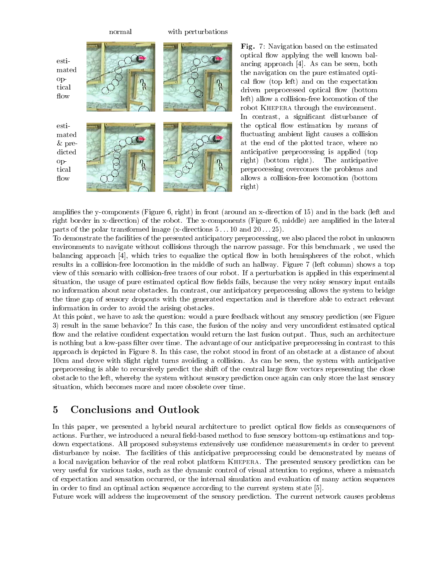

Fig. 7: Navigation based on the estimated optical flow applying the well known balancing approach [4]. As can be seen, both the navigation on the pure estimated optical flow (top left) and on the expectation driven preprocessed optical flow (bottom left) allow a collision-free locomotion of the robot KHEPERA through the environment. In contrast, a significant disturbance of the optical flow estimation by means of fluctuating ambient light causes a collision at the end of the plotted trace, where no anticipative preprocessing is applied (top right) (bottom right). The anticipative preprocessing overcomes the problems and allows a collision-free locomotion (bottom right)

amplifies the y-components (Figure 6, right) in front (around an x-direction of 15) and in the back (left and right border in x-direction) of the robot. The x-components (Figure 6, middle) are amplified in the lateral parts of the polar transformed image (x-directions  $5...10$  and  $20...25$ ).

To demonstrate the facilities of the presented anticipatory preprocessing, we also placed the robot in unknown environments to navigate without collisions through the narrow passage. For this benchmark, we used the balancing approach [4], which tries to equalize the optical flow in both hemispheres of the robot, which results in a collision-free locomotion in the middle of such an hallway. Figure 7 (left column) shows a top view of this scenario with collision-free traces of our robot. If a perturbation is applied in this experimental situation, the usage of pure estimated optical flow fields fails, because the very noisy sensory input entails no information about near obstacles. In contrast, our anticipatory preprocessing allows the system to bridge the time gap of sensory dropouts with the generated expectation and is therefore able to extract relevant information in order to avoid the arising obstacles.

At this point, we have to ask the question: would a pure feedback without any sensory prediction (see Figure 3) result in the same behavior? In this case, the fusion of the noisy and very unconfident estimated optical flow and the relative confident expectation would return the last fusion output. Thus, such an architecture is nothing but a low-pass filter over time. The advantage of our anticipative preprocessing in contrast to this approach is depicted in Figure 8. In this case, the robot stood in front of an obstacle at a distance of about 10cm and drove with slight right turns avoiding a collision. As can be seen, the system with anticipative preprocessing is able to recursively predict the shift of the central large flow vectors representing the close obstacle to the left, whereby the system without sensory prediction once again can only store the last sensory situation, which becomes more and more obsolete over time.

### **Conclusions and Outlook**  $\overline{5}$

In this paper, we presented a hybrid neural architecture to predict optical flow fields as consequences of actions. Further, we introduced a neural field-based method to fuse sensory bottom-up estimations and topdown expectations. All proposed subsystems extensively use confidence measurements in order to prevent disturbance by noise. The facilities of this anticipative preprocessing could be demonstrated by means of a local navigation behavior of the real robot platform KHEPERA. The presented sensory prediction can be very useful for various tasks, such as the dynamic control of visual attention to regions, where a mismatch of expectation and sensation occurred, or the internal simulation and evaluation of many action sequences in order to find an optimal action sequence according to the current system state [5].

Future work will address the improvement of the sensory prediction. The current network causes problems